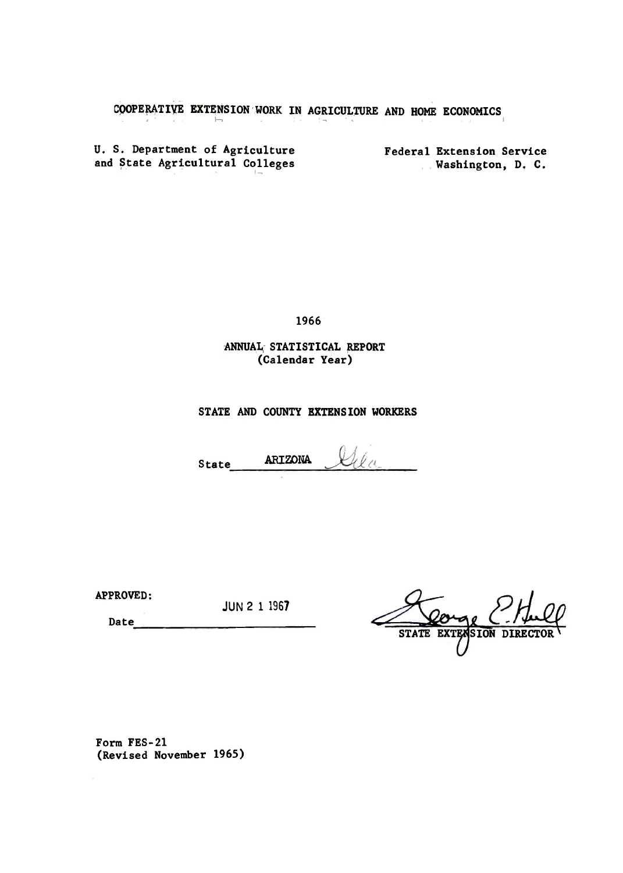COOPERATIVE EXTENSION WORK IN AGRICULTURE AND HOME ECONOMICS İ,

U. S. Department of Agriculture and State Agricultural Colleges

Federal Extension Service Washington, D. C.

1966

ANNUAL STATISTICAL REPORT (Calendar Year)

STATE AND COUNTY EXTENSION WORKERS

ARIZONA State

APPROVED:

**JUN 2 1 1967** 

**STATE** EXTENSION DIRE

Date

Form FES-21 (Revised November 1965)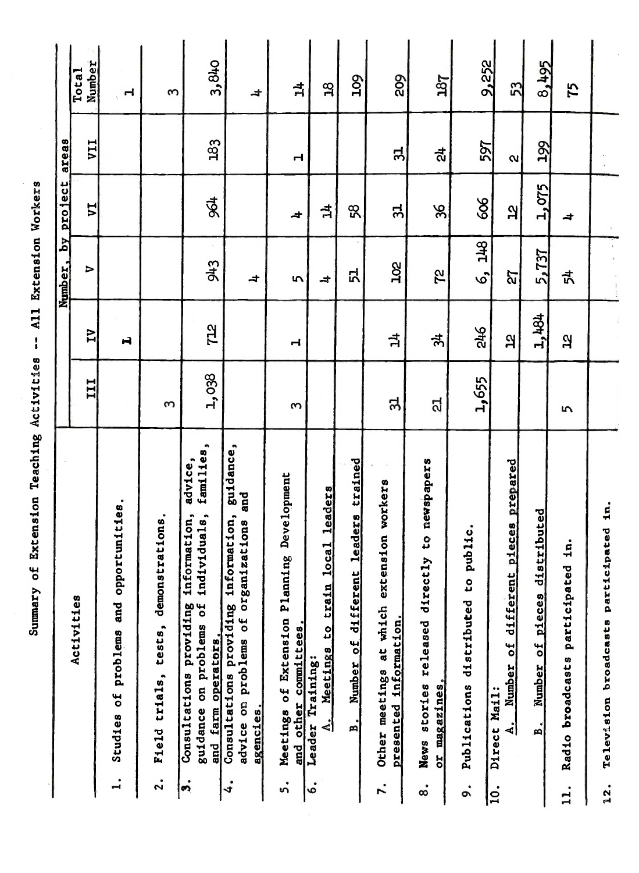Summary of Extension Teaching Activities -- All Extension Workers

ł

| Activities                                                                                                                                           | III            | $\overline{L}$ | $\mathbb{R}^2$<br>Number,<br>⇒ | <b>project</b><br>ΣΔ | areas<br>VII          | Number<br>Total          |
|------------------------------------------------------------------------------------------------------------------------------------------------------|----------------|----------------|--------------------------------|----------------------|-----------------------|--------------------------|
| tunities.<br><b>zoddo</b><br>and<br>problems<br>Studies of<br>$\ddot{ }$                                                                             |                | H              |                                |                      |                       | $\mathbf{r}$             |
| demonstrations.<br>Field trials, tests,<br>$\ddot{\mathbf{a}}$                                                                                       | $\infty$       |                |                                |                      |                       | S                        |
| families,<br>advice,<br>individuals,<br>information,<br>guidance on problems of<br>Consultations providing<br>and farm operators.<br>$\dot{\bullet}$ | 1,038          | <b>STL</b>     | 943                            | \$4                  | 183                   | 3,840                    |
| guidance,<br>and<br>providing information,<br>on problems of organizations<br>Consultations<br>agencies.<br>advice<br>4.                             |                |                | $\overline{a}$                 |                      |                       | $\overline{\phantom{a}}$ |
| Development<br>Meetings of Extension Planning<br>and other committees<br>ທໍ                                                                          | w              | ᆏ              | $\sim$                         | 4                    | ᆏ                     | $\vec{p}$                |
| leaders<br>Meetings to train local<br>Training:<br>$\mathbf{A}$ .<br>Ieader<br>。<br>。                                                                |                |                | $\overline{a}$                 | $\vec{p}$            |                       | $\mathbf{a}$             |
| leaders trained<br>different<br>Number of<br>n.                                                                                                      |                |                | ロ                              | 58                   |                       | <b>POT</b>               |
| $\sim$<br>Other meetings at which extension workers<br>presented information.<br>r.                                                                  | ನ              | $\vec{p}$      | 202                            | $\mathbf{5}$         | ನ                     | 802                      |
| newspapers<br>g<br>News stories released directly<br>or magazines<br>$\dot{\circ}$                                                                   | ದ              | क्रै           | 2Z                             | 96                   | ಸ್ಟೆ                  | 187                      |
| public.<br>$\overline{\mathbf{c}}$<br>Publications distributed<br>$\ddot{\circ}$                                                                     | 1,655          | $\frac{3}{46}$ | 6, 148                         | 606                  | 597                   | 9,252                    |
| Number of different pieces prepared<br>Direct Mail:<br>.<br>ام<br> ິຊ                                                                                |                | $\mathbf{a}$   | 72                             | <u>p</u>             | $\boldsymbol{\alpha}$ | 53                       |
| distributed<br>Number of pieces<br>$\mathbf{a}^{\prime}$                                                                                             |                | 1,484          | 5,737                          | 1,075                | 199                   | 8,495                    |
| in.<br>Radio broadcasts participated<br>11.                                                                                                          | $\overline{5}$ | $\mathbf{a}$   | 式                              | $\overline{a}$       |                       | 75                       |
| $\mathbf{a}$<br>Television broadcasts participated<br>12.                                                                                            |                |                |                                |                      |                       |                          |
|                                                                                                                                                      |                |                |                                |                      |                       |                          |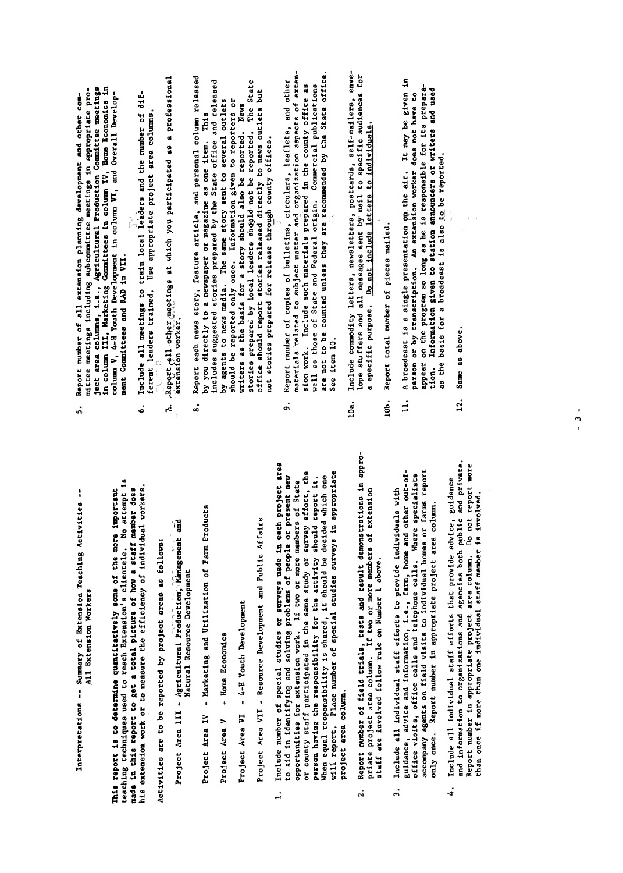Interpretations -- Summary of Extension Teaching Activities --All Extension Workers This report is to determine quantitatively some of the more important

Activities are to be reported by project areas as follows:

- Project Area III Agricultural Production, Management and Natural Resource Development
- Marketing and Utilization of Farm Products Project Area IV
- Home Economics Project Area V

Project Area VI - 4-H Youth Development

Project Area VII - Resource Development and Public Affairs

- and information to organization to organizations and public and public and public and public and private. In  $p$ Report number in appropriate project area column. Do not report more than once if more than one individual staff member is involved. project area column.  $\ddot{ }$
- $\frac{1}{2}$  $\ddot{2}$ .
	- Include all individual staff efforts to provide individuals with only once. Report number in appropriate project area column.  $\ddot{ }$
- 12. Same as. above. Include all individual staff efforts that provide advice, guidance<br>and information to organizations and agencies both public and private. than once if more than one individual staff member is involved. 4.
- Report number of all extension planning development and other com-<br>mittee meetings including subcommittee meetings in appropriate pro-<br>is the area columis, i.e., Agriculteural Production, Bommitee meetings<br>is the area in t
- ment Committees and RAD in VII.<br>Include all meetings to train local leaders and the number of dif-<br>ferent leaders trained. Use appropriate project area columns.<br>Report gll other meetings at which you participated as a prof
	-
- $\vec{a}$  Summary of Extension  $\vec{b}$  Summary of  $\vec{c}$ Report each news story, feature article, and personal column released<br>by you directly to a newspaper or magazine as one item. This<br>includes suggested stories prepared by the State office and released<br>by agents to news dula The report is to determine and the more in the more in the more in the more in the more in the more in the mor<br>The more in the more in the more in the more in the more in the more in the more in the more in the more in th ted techniques used to reach the reach extension of the reach extension of the reach of the reach of the reach<br>The reach of the reach of the reach is a second in the reach of the reach of the reach of the reach of the rea made in the state of the state of the state of the state of the state of the state of the state of the state o<br>This report of the state of the state of the state of the state of the state of the state of the state of the  $\frac{1}{2}$  extends to  $\frac{1}{2}$  or to  $\frac{1}{2}$  or to  $\frac{1}{2}$  or  $\frac{1}{2}$  of  $\frac{1}{2}$  of  $\frac{1}{2}$  or  $\frac{1}{2}$  or  $\frac{1}{2}$  or  $\frac{1}{2}$  or  $\frac{1}{2}$  or  $\frac{1}{2}$  or  $\frac{1}{2}$  or  $\frac{1}{2}$  or  $\frac{1}{2}$  or  $\frac{1}{2}$  or Activities are to be reported by project and also be reported by a following and areas and areas as follows: Agricultural P;�d�cti�� and P;�d�cti�� and P;�d�cti�� and P;�d�cti�� and P by you directly to a newspaper or magazine as one item. This<br>includes suggested stories prepared by the State office and released<br>by agents to news media. The same story sent to several outlets<br>whould be reported only once Project Area IV - Marketing and Utilization of Farm Project Area IV - Marketing and Utilization of Farm Produc<br>Products Area IV - Marketing and Utilization of Products and Property and Utilization of Products and Products Project Area <sup>V</sup> - Home Economics Project Area VI - 4-H Youth Development Project Area VII - Resource Development and Public Affairs - Public Affairs - Public Affairs - Public Affairs<br>Project Area VII - Public Affairs - Public Affairs - Public Affairs - Public Affairs - Public Affairs - Public 1. Include number of special ,studies or surveys made in each project area to a in italian in italian people or people or people or problems of people or problems of people or problems <br>The people of people of people or problems of people or problems of people or people or people of people or pr opportunities for extension work. If the state of the state of State members of State and State members of Sta<br>State of State members of State members of State members of State and State members of State and State members or county stated in the state in the same study of the same study of the same study of the survey of the study<br>The same study of the same study of the same study of the same study of the same study of the same study of th person have responsible the responsibility for the activity for the activity should report it. The activity should report it. It is not the activity of the activity of the activity of the activity should report it. It is n When ethis is shown and the decided which one of the decidence of the decidence of the decidence of the decide<br>The decidence which one of the decided which one of the decidence of the decidence of the decidence of the dec will report. Place number of special studies surveys in a propriet survey in a propriet of surveys in a proprie<br>The survey of surveys in a propriet survey in a propriet of the survey of the survey of the survey of the surv 2. Report of Field trials, tests and result demonstrations in a proprimate project and project and the project and the more members of the more members of the more members of extensions of the more members of the more members of the more members of the more members of the more members of staff are in 1995 and 1995. In Number 1 above. It is a sense of the 1995 and 1996. It is a sense of the 1996 a  $\mathbf{z}$  in the provide all individuals with the providence in the providence in the providence in the providence in the providence in the providence in the providence in the providence in the providence in the providence
- guidance, advice and information, i.e., farm, home and other out-of- $\bullet$   $\bullet$   $\bullet$   $\bullet$   $\bullet$   $\bullet$  calls and telephone calls and telephone calls and telephone calls. When
	-
- 
- Information given to station announcers or writers and used as the basis for a broadcast is also to be reported. tion.
- lOa. Include commodity letters, newsletter�j postcards. self-mailers. enve- $\delta$ . Report total number of pieces mailed: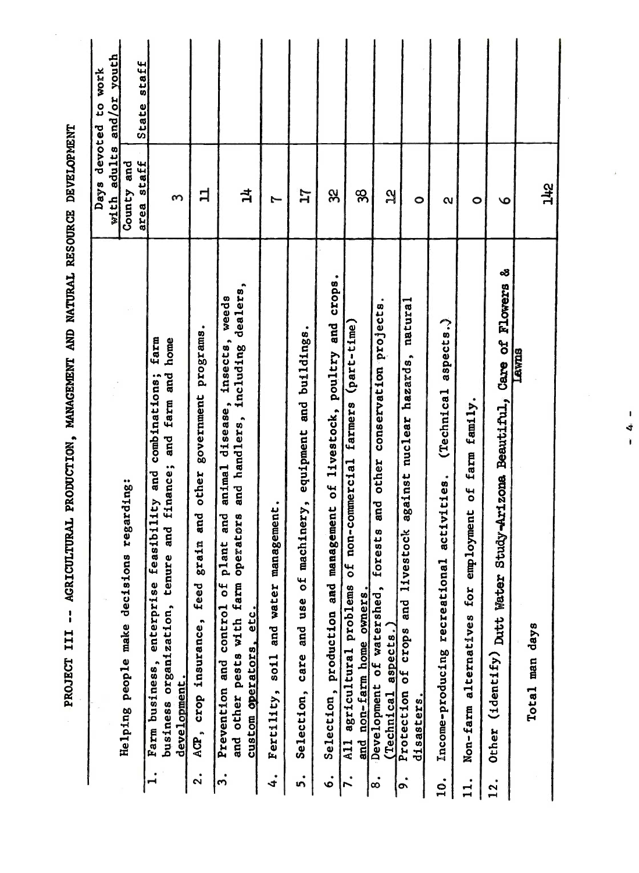| State staff<br>staff<br>County and<br>$\vec{a}$<br>3X<br>ᄇ<br>88<br>17<br>$\mathbf{a}$<br>$\boldsymbol{\infty}$<br>1<br>$\circ$<br>$\circ$<br>$\circ$<br>$\mathbf{\alpha}$<br>area<br>Study-Arizona Beautiful, Care of Flowers &<br>Selection, production and management of livestock, poultry and crops.<br>animal disease, insects, weeds<br>and handlers, including dealers,<br>forests and other conservation projects.<br>natural<br>aspects.)<br>non-commercial farmers (part-time)<br>government programs.<br>Selection, care and use of machinery, equipment and buildings.<br>farm<br>home<br>Lawns<br>against nuclear hazards,<br>farm and<br>combinations;<br>(Technical<br>Non-farm alternatives for employment of farm family.<br>and<br>tenure and finance;<br>and<br>other<br>activities.<br>feasibility<br>Fertility, soil and water management.<br>and<br>and other pests with farm operators<br>and<br>stock<br>grain<br>lant<br>Income-producing recreational<br><u>ጌ</u><br>ŏ<br>and live<br>(identify) Dutt Water<br>enterprise<br>feed<br>Prevention and control of<br>All agricultural problems<br>Development of watershed,<br>non-farm home owners.<br>business organization,<br>custom operators, etc.<br>ACP, crop insurance,<br>a <sub>spec</sub> ts.<br>Total man days<br>Protection of crops<br>Farm business,<br>development<br>(Technical<br>disasters.<br>Other<br>and<br>$\mathbf{I}$<br>$\ddot{\mathbf{a}}$<br>5.<br>4.<br>ທ່<br>$\dot{\bullet}$<br>7.<br>.<br>ထ<br>$\ddot{\bullet}$<br>$\dot{q}$<br>11.<br>12. |                                          | Days            | with adults and/or youth<br>to work<br>devoted |
|----------------------------------------------------------------------------------------------------------------------------------------------------------------------------------------------------------------------------------------------------------------------------------------------------------------------------------------------------------------------------------------------------------------------------------------------------------------------------------------------------------------------------------------------------------------------------------------------------------------------------------------------------------------------------------------------------------------------------------------------------------------------------------------------------------------------------------------------------------------------------------------------------------------------------------------------------------------------------------------------------------------------------------------------------------------------------------------------------------------------------------------------------------------------------------------------------------------------------------------------------------------------------------------------------------------------------------------------------------------------------------------------------------------------------------------------------------------------------------------------------------------------------------------------------|------------------------------------------|-----------------|------------------------------------------------|
|                                                                                                                                                                                                                                                                                                                                                                                                                                                                                                                                                                                                                                                                                                                                                                                                                                                                                                                                                                                                                                                                                                                                                                                                                                                                                                                                                                                                                                                                                                                                                    | Helping people make decisions regarding: |                 |                                                |
|                                                                                                                                                                                                                                                                                                                                                                                                                                                                                                                                                                                                                                                                                                                                                                                                                                                                                                                                                                                                                                                                                                                                                                                                                                                                                                                                                                                                                                                                                                                                                    |                                          |                 |                                                |
|                                                                                                                                                                                                                                                                                                                                                                                                                                                                                                                                                                                                                                                                                                                                                                                                                                                                                                                                                                                                                                                                                                                                                                                                                                                                                                                                                                                                                                                                                                                                                    |                                          |                 |                                                |
|                                                                                                                                                                                                                                                                                                                                                                                                                                                                                                                                                                                                                                                                                                                                                                                                                                                                                                                                                                                                                                                                                                                                                                                                                                                                                                                                                                                                                                                                                                                                                    |                                          |                 |                                                |
|                                                                                                                                                                                                                                                                                                                                                                                                                                                                                                                                                                                                                                                                                                                                                                                                                                                                                                                                                                                                                                                                                                                                                                                                                                                                                                                                                                                                                                                                                                                                                    |                                          |                 |                                                |
|                                                                                                                                                                                                                                                                                                                                                                                                                                                                                                                                                                                                                                                                                                                                                                                                                                                                                                                                                                                                                                                                                                                                                                                                                                                                                                                                                                                                                                                                                                                                                    |                                          |                 |                                                |
|                                                                                                                                                                                                                                                                                                                                                                                                                                                                                                                                                                                                                                                                                                                                                                                                                                                                                                                                                                                                                                                                                                                                                                                                                                                                                                                                                                                                                                                                                                                                                    |                                          |                 |                                                |
|                                                                                                                                                                                                                                                                                                                                                                                                                                                                                                                                                                                                                                                                                                                                                                                                                                                                                                                                                                                                                                                                                                                                                                                                                                                                                                                                                                                                                                                                                                                                                    |                                          |                 |                                                |
|                                                                                                                                                                                                                                                                                                                                                                                                                                                                                                                                                                                                                                                                                                                                                                                                                                                                                                                                                                                                                                                                                                                                                                                                                                                                                                                                                                                                                                                                                                                                                    |                                          |                 |                                                |
|                                                                                                                                                                                                                                                                                                                                                                                                                                                                                                                                                                                                                                                                                                                                                                                                                                                                                                                                                                                                                                                                                                                                                                                                                                                                                                                                                                                                                                                                                                                                                    |                                          |                 |                                                |
|                                                                                                                                                                                                                                                                                                                                                                                                                                                                                                                                                                                                                                                                                                                                                                                                                                                                                                                                                                                                                                                                                                                                                                                                                                                                                                                                                                                                                                                                                                                                                    |                                          |                 |                                                |
|                                                                                                                                                                                                                                                                                                                                                                                                                                                                                                                                                                                                                                                                                                                                                                                                                                                                                                                                                                                                                                                                                                                                                                                                                                                                                                                                                                                                                                                                                                                                                    |                                          |                 |                                                |
|                                                                                                                                                                                                                                                                                                                                                                                                                                                                                                                                                                                                                                                                                                                                                                                                                                                                                                                                                                                                                                                                                                                                                                                                                                                                                                                                                                                                                                                                                                                                                    |                                          |                 |                                                |
|                                                                                                                                                                                                                                                                                                                                                                                                                                                                                                                                                                                                                                                                                                                                                                                                                                                                                                                                                                                                                                                                                                                                                                                                                                                                                                                                                                                                                                                                                                                                                    |                                          |                 |                                                |
|                                                                                                                                                                                                                                                                                                                                                                                                                                                                                                                                                                                                                                                                                                                                                                                                                                                                                                                                                                                                                                                                                                                                                                                                                                                                                                                                                                                                                                                                                                                                                    |                                          | $\frac{24}{11}$ |                                                |
|                                                                                                                                                                                                                                                                                                                                                                                                                                                                                                                                                                                                                                                                                                                                                                                                                                                                                                                                                                                                                                                                                                                                                                                                                                                                                                                                                                                                                                                                                                                                                    |                                          |                 |                                                |
|                                                                                                                                                                                                                                                                                                                                                                                                                                                                                                                                                                                                                                                                                                                                                                                                                                                                                                                                                                                                                                                                                                                                                                                                                                                                                                                                                                                                                                                                                                                                                    | $\mathbf{I}$<br>4<br>$\hat{\mathbf{I}}$  |                 |                                                |

Ŷ,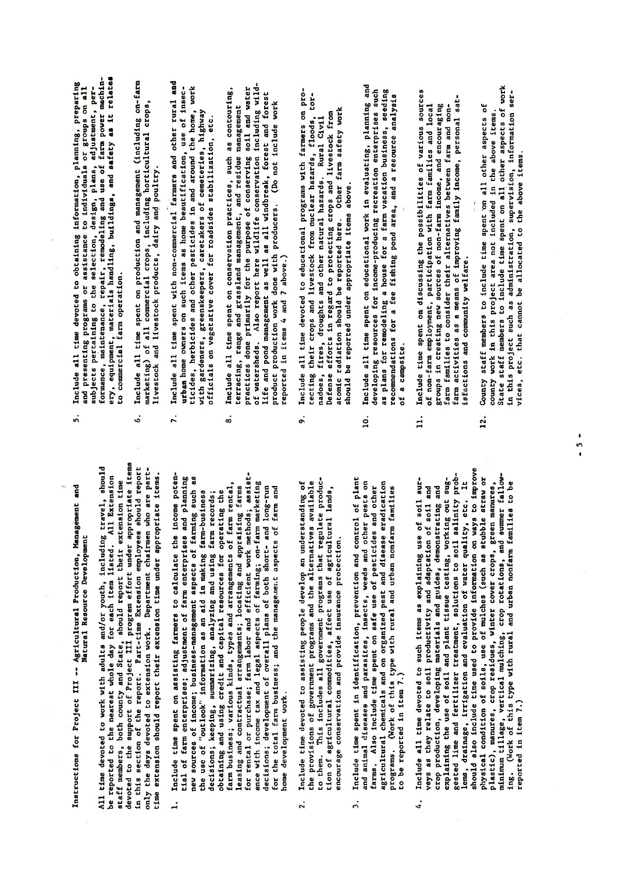Instructions for Project III -- Agricultural Production, Management and Natural Resource Development

explaining the use of soil and plant tissue testing, working out suggested lime and fertilizer treatment, solutions to soil salinity problems, drainage, irrigation and evaluation and evaluation of water  $q$ All time devoted to work with adults and/or youth, including travel, should be reported to the mearest whole day for each item listed. All Extension staff mearing is both county and State, should report their extension sta

- $\vec{P}$  gradie time used to provide the providence in ways to provide information on ways to improve the second to improve the second to improve the second to improve the second to improve the second to improve the second physical conditions of the solution of mulches of mulches (such as studies of mulches in the mulches or mulche<br>Straw or mulches the straw of mulches in the mulches of mulches in the straw of the straw or mulches in the st plastic planstic residues, manures, crops, crops, crops, crops, crops, crops, crops, crops, crops, crops, crop<br>The crops of crops, crops, crops, crops, crops, crops, crops, crops, crops, crops, crops, crops, crops, crops, minimum tillage, vertical mulching, crop rotations, and summer fallowing. (Working of the type with rural and urban non-targed to be with run of the urban non-targed to be used to nome development work.  $\ddot{ }$ 
	- encourage conservation and provide insurance protection.  $\ddot{2}$
- to be reported in item 7.) 3.
- farm activities as <sup>a</sup> means of improving family income, personal sat- $\omega$ Include all time devoted to such items as explaining use of soil sur-<br>veys as they relate to soil productivity and adaptation of soil and  $12.5$  county state to include the spent  $12.5$  county of  $12.5$  county of  $12.5$  county of  $12.5$  county of  $12.5$  county of  $12.5$  county of  $12.5$  county of  $12.5$  county of  $12.5$  county of  $12.5$  county of  $12.5$  cou crop production, developing materials and guides, demonstrating and  $\frac{1}{2}$  are a not included in the above items.  $\sum_{i=1}^{n}$  members to include the spent of work of works of works of works of works of works of works of works of works of works of works of works of works of works of works of works of works of works of works of works  $\begin{array}{ccc} \texttt{1} & \texttt{2} & \texttt{3} & \texttt{4} \\ \texttt{2} & \texttt{3} & \texttt{4} & \texttt{5} \\ \texttt{3} & \texttt{5} & \texttt{5} & \texttt{6} \end{array}$  $v \sim e$  that cannot be allocated to the above items. reported in item 7.) 4.
- Instructions for Project III --Agricultural Production,  $\mathcal{A}$ home dig di trans e <mark>be rep</mark>ort
	-
- 
- Natural Resource Development All time devoted to work with a showled to work with a showled travel. It is a summer of the nearest whole tra<br>The nearest with a showled travel to the nearest whole day for the nearest whole the showled travel. All Extens staff members, both county and State, should report their extension time devoted to the support of Project III program effort under appropriate items in this section of the report. Part-time Extension employees should report ndy the days devoted to extend the days devoted to extension who are part-<br>the distribution who are part-their extension and or part-their extension time under approximation the state i<br>the part-their extension of the stat 1. Include time spent on assisting farmers to calculate the income potential of farmer of farmer of farmer of farmer of farmer of farmer of farmer of farmer of farmer of farmer of fa<br>Enterprises and planning farmer of farmer of farmer of farmer of farmer of farmer of farmer of farmer of farme new sources of income; business-management aspects of the farming such aspects of the farming such aspects of the use of "outlook" information as a state of "outlook" in making farm-business in the state of the state of deciment decisions; keeping, summarizing farm records; and using farm records; and using farm records; a sectio obere and using credit and capital resources for operating the capital resources for operations for operations<br>Operations for operations for operations for operations for operations for the capital resources for the contr  $\frac{1}{2}$ arm business; various arrangements of farm rental, types and arrangements of  $\frac{1}{2}$ . leas and fanta arrangements; locating and a for ental or purchase; farmer den efficient methods; farmer den effects; assistance of the efficiency of the e  $\frac{1}{2}$  and the compact of farming  $\frac{1}{2}$  and  $\frac{1}{2}$  and  $\frac{1}{2}$  are farming  $\frac{1}{2}$  . The contract of  $\frac{1}{2}$ decisions; development of overall plans of the both short- and long-running of both short- and longfor the total farm business; and the manage.ner.t aspects of farm and 2. Include time devoted to assisting people develop an understanding of the provisions of government provisions and the alternatives and the alternatives and the alternatives and the  $\frac{1}{2}$  the mass includes a larger producer produced produced produced products and  $\frac{1}{2}$ tion of a gricultural commodities, affect use of a gricultural lands, and a gricultural lands, and a gricular <br>Estate de la provincia la provincia la provincia la provincia la provincia la provincia la provincia la provin encourage conservation and provide insurance provide insurance provide insurance provide in the providence pro 3. Include time spent in identification, prevention and control of plant and animal diseases and parallel and pests on the pests of  $\alpha$ farms. Also include the spent of persons of the species of persons and other and other the persons and other t agricultural chemical chemicals and organized pest and disease era and disease era programs. (Working of the type with rural and urban non-
- 4. Include all time devoted to such items as explaining use of soil surveys as they relate to soil productivity and adaptation of soil and
- of a campsite.
- Include time spent on discussing the possibilities of various sources of non-farm employment, participation with farm families and local groups in creating new sources of non-farm income, and encouraging  $\mathbf{1}$
- and presenting programs or assistance to individuals or  $\mathcal{A}$  $\frac{1}{2}$  subjects perturbent, adjustment, plans, adjustment, perfection, perfection, perfection, perfection, perfection, perfection,  $\frac{1}{2}$  substment, perfection, perfection, perfection, perfection, perfection, perfec  $f_{\rm eff}$  repairs repairs and use of  $f_{\rm eff}$  $\begin{array}{c}\n \circ \text{c}\n \text{c}\n \text{c}\n \text{c}\n \text{d}\n \text{d}\n \text{e}\n \text{d}\n \text{e}\n \text{f}\n \text{g}\n \text{g}\n \text{g}\n \text{g}\n \text{h}\n \text{g}\n \text{g}\n \text{h}\n \text{g}\n \text{h}\n \text{h}\n \text{g}\n \text{h}\n \text{h}\n \text{h}\n \text{h}\n \text{h}\n \text{h}\n \text{h}\n \text{h}\n \text{h}\n \text{h}\n \text{h}\n \text{h}\n \text{h}\n$  $\begin{array}{ccc} \textbf{r} & \textbf{r} & \textbf{r} \\ \textbf{r} & \textbf{r} & \textbf{r} \\ \textbf{r} & \textbf{r} & \textbf{r} \end{array}$ 6. Include all time spent on production and management (including on-farm  $m_0$  of all commercial crops, including horizontal crops, including  $m_0$ livestock and livestock products, dairy an� poultry.  $\frac{1}{2}$  include a line spent with non-commercial farmers and other rules and other rules and other rules and other rules and other rules and other rules and other rules and other rules and other rules and other rules an  $\mathbf{u}$  home beautification, use of insection, use of insection, use of insection, use of insection, use of insection,  $\mathbf{u}$  $\frac{d}{dt}$  design pesticides in and around the home, working the home, working the home, working the home, working the home, working the home, working the home, working the home, working the home, working the home, working  $\alpha$  greenskeepers, greenskeepers, caretakers of cemeteries, highways of cemeteries, highways of cemeteries,  $\alpha$  $\begin{array}{c} \circ$   $\begin{array}{c} \circ \\ \circ \end{array}$  on vegetative cover  $\begin{array}{c} \circ \\ \circ \end{array}$  $\mathbf{B}$  and  $\mathbf{B}$  as conservation properties, such as contouring  $\mathbf{B}$ terracing, range and grassland management, and residue management  $\frac{p}{p}$  do not the purpose of conserving solid solid and water solid and water solid and water soil and water solid and water solid and water solid and water solid and water solid and water solid and water solid and wat of watersheds. Also report here wildlife conservation including wild $e^{\frac{1}{2}}$  and  $e^{\frac{1}{2}}$  as  $e^{\frac{1}{2}}$  as  $e^{\frac{1}{2}}$  and  $e^{\frac{1}{2}}$  $\Xi$  and  $\Xi$  do not include with producers. (Do not include work do not include work  $\Xi$  $r_{\rm e}$  and  $r_{\rm e}$  and  $r_{\rm e}$  and  $r_{\rm e}$  and  $r_{\rm e}$  $\begin{array}{c}\n\text{gen} \\
\text{gen} \\
\text{gen} \\
\text{gen} \\
\text{gen} \\
\text{gen} \\
\text{gen} \\
\text{gen} \\
\text{gen} \\
\text{gen} \\
\text{gen} \\
\text{gen} \\
\text{gen} \\
\text{gen} \\
\text{gen} \\
\text{gen} \\
\text{gen} \\
\text{gen} \\
\text{gen} \\
\text{gen} \\
\text{gen} \\
\text{gen} \\
\text{gen} \\
\text{gen} \\
\text{gen} \\
\text{gen} \\
\text{gen} \\
\text{gen} \\
\text{gen} \\
\text{gen} \\
\text{gen} \\
\text{gen} \\
\text{gen} \\
\text{gen} \\
\text{gen} \\
\text$  $\frac{1}{2}$  their crops and livestock from nuclear hazards,  $\frac{1}{2}$  and  $\frac{1}{2}$  and  $\frac{1}{2}$  and  $\frac{1}{2}$  and  $\frac{1}{2}$  and  $\frac{1}{2}$  and  $\frac{1}{2}$  and  $\frac{1}{2}$  and  $\frac{1}{2}$  and  $\frac{1}{2}$  and  $\frac{1}{2}$  and  $\frac{1}{2}$  $\begin{array}{c} \texttt{a} \texttt{c} \\ \texttt{d} \texttt{d} \end{array}$  $\frac{1}{2}$  defense to protecting crops and livestock from  $\frac{1}{2}$  $\begin{array}{l} \mathbf{a} \ \mathbf{b} \ \mathbf{c} \ \mathbf{d} \ \mathbf{c} \end{array}$  $s_n$  it is a point of the reported under appropriate items above.  $11.506$  all time spent on evaluations on  $P$  $\begin{array}{c}\n\circ \\
\circ \\
\circ \\
\circ\n\end{array}$  $a$  remodeling a house for a farm vacation business, seeding a set a farm vacation business, seeding  $a$  $\begin{array}{ccc}\n\mathbf{g} & \mathbf{g} & \mathbf{g} \\
\mathbf{g} & \mathbf{g} & \mathbf{g} \\
\mathbf{g} & \mathbf{g} & \mathbf{g}\n\end{array}$  $88#77$  $11.$  Include time spent on discussing the possibilities of various sources of various sources of various sources of various sources of various sources of various sources of various sources of various sources of various s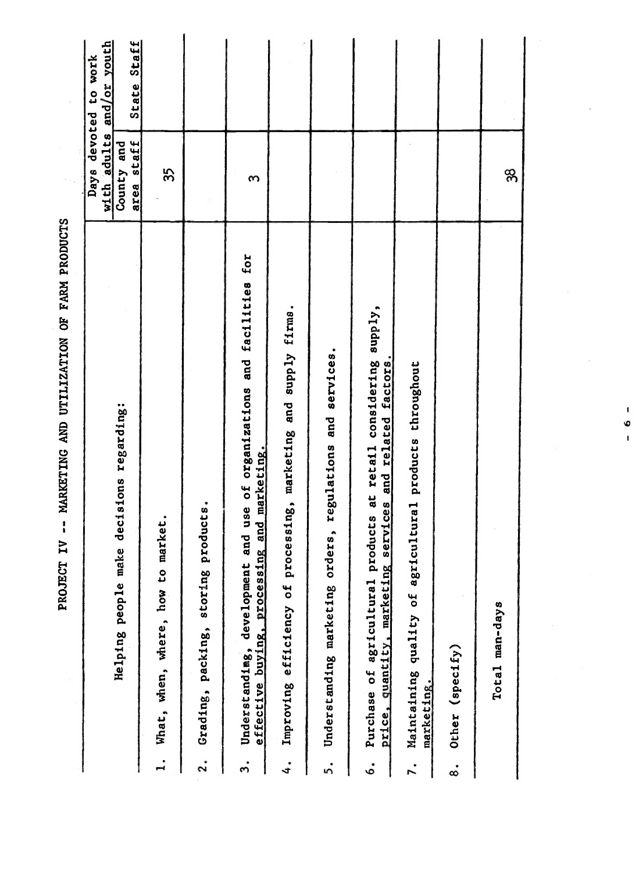|                                                                                                                                          |                          | with adults and/or youth<br>Days devoted to work |
|------------------------------------------------------------------------------------------------------------------------------------------|--------------------------|--------------------------------------------------|
| Helping people make decisions regarding:                                                                                                 | area staff<br>County and | State Staff                                      |
| market.<br>What, when, where, how to<br>$\ddot{ }$                                                                                       | 35                       |                                                  |
| products.<br>Grading, packing, storing<br>$\ddot{\mathbf{r}}$                                                                            |                          |                                                  |
| and use of organizations and facilities for<br>effective buying, processing and marketing.<br>Understandimg, development<br>ຕໍ           | ო                        |                                                  |
| Improving efficiency of processing, marketing and supply firms.<br>$\ddot{ }$                                                            |                          |                                                  |
| Understanding marketing orders, regulations and services.<br>5.                                                                          |                          |                                                  |
| Purchase of agricultural products at retail considering supply,<br>services and related factors.<br>price, quantity, marketing<br>.<br>ف |                          |                                                  |
| Maintaining quality of agricultural products throughout<br>marketing.                                                                    |                          |                                                  |
| Other (specify)<br>$\dot{\infty}$                                                                                                        |                          |                                                  |
| Total man-days                                                                                                                           | 38                       |                                                  |

PROJECT IV -- MARKETING AND UTILIZATION OF FARM PRODUCTS

 $\blacksquare$  $\bullet$  $\mathbf{I}$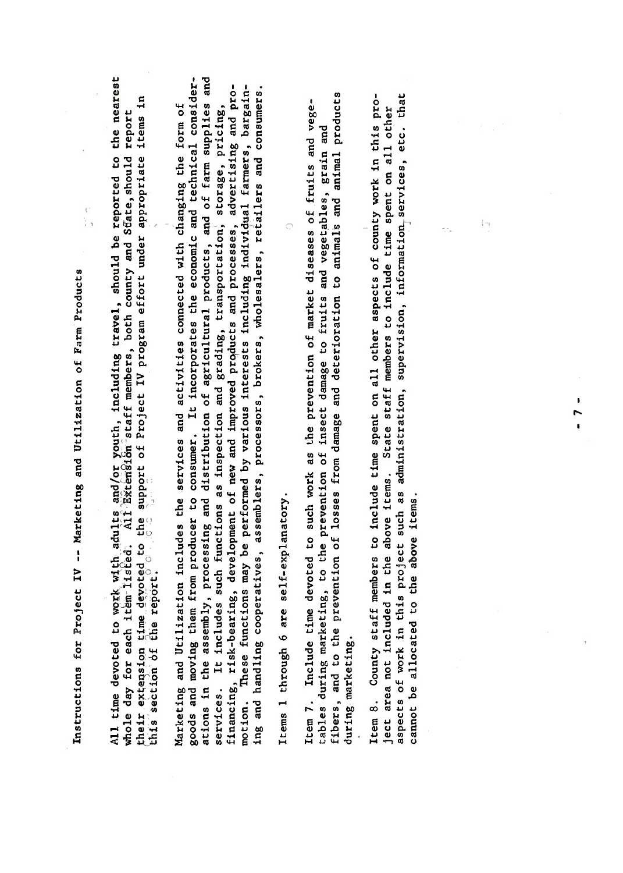Instructions for Project IV -- Marketing and Utilization of Farm Products

 $\frac{1}{2}$ 

Instructions for  $P$  --  $P$  --  $M$  --  $M$  --  $M$  --  $M$  --  $M$  --  $M$  --  $M$  --  $M$  --  $M$  --  $M$  --  $M$  --  $M$  --  $M$  --  $M$  --  $M$  --  $M$  --  $M$  --  $M$  --  $M$  --  $M$  --  $M$  --  $M$  --  $M$  --  $M$  --  $M$  --  $M$  --  $M$  --  $\begin{array}{llllll} \mathbf{A} & \mathbf{B} & \mathbf{B} & \mathbf{B} & \mathbf{B} & \mathbf{B} & \mathbf{B} & \mathbf{B} & \mathbf{B} & \mathbf{B} & \mathbf{B} & \mathbf{B} & \mathbf{B} & \mathbf{B} & \mathbf{B} & \mathbf{B} & \mathbf{B} & \mathbf{B} & \mathbf{B} & \mathbf{B} & \mathbf{B} & \mathbf{B} & \mathbf{B} & \mathbf{B} & \mathbf{B} & \mathbf{B} & \mathbf{B} & \mathbf{B} & \mathbf{B} & \mathbf{B} & \$  $\tilde{E}$ ed: Alle day for each it $\tilde{E}$  members, both county and S $\tilde{E}$  members, both county and S $\tilde{E}$  $\begin{array}{ccc} 1 & \text{if} & \text{if} & \text{if} & \text{if} & \text{if} & \text{if} & \text{if} & \text{if} & \text{if} & \text{if} & \text{if} & \text{if} & \text{if} & \text{if} & \text{if} & \text{if} & \text{if} & \text{if} & \text{if} & \text{if} & \text{if} & \text{if} & \text{if} & \text{if} & \text{if} & \text{if} & \text{if} & \text{if} & \text{if} & \text{if} & \text{if} & \text{if} & \text{if} & \text{if} & \text{if} &$  $\begin{array}{ccc} \mathbf{1} & \mathbf{1} & \mathbf{1} \\ \mathbf{0} & \mathbf{0} & \mathbf{1} \\ \mathbf{1} & \mathbf{0} & \mathbf{1} \end{array}$ Marketing and Utilization includes the services and activities connected with changing the form of goods and moving them from producer to consumer. It is included to consumer. It is included to consider the economic and technical constants the economic and technical constants the economic and technical constants of the ations in the assembly, processing and distribution of agricultural products, and of farm supplies and  $\begin{array}{ccccc} \textbf{1}_{\textbf{B}} & \textbf{1}_{\textbf{B}} & \textbf{1}_{\textbf{B}} & \textbf{1}_{\textbf{B}} & \textbf{1}_{\textbf{B}} & \textbf{1}_{\textbf{B}} & \textbf{1}_{\textbf{B}} & \textbf{1}_{\textbf{B}} & \textbf{1}_{\textbf{B}} & \textbf{1}_{\textbf{B}} & \textbf{1}_{\textbf{B}} & \textbf{1}_{\textbf{B}} & \textbf{1}_{\textbf{B}} & \textbf{1}_{\textbf{B}} & \textbf{1}_{\textbf{B}} & \textbf{1}_{\textbf{B}} & \textbf{$ final development of new and improved proved proved proved proved proved proved proved proved promotion. These functions may be performed by various interests in the performance in the performance in the per<br>The performance of the performance in the performance in the performance in the performance in the performance ing and handling cooperatives, assemblers, processors, brokers, wholesalers, retailers and consumers. Items <sup>1</sup> through <sup>6</sup> are self-explanatory. () Item 7. Include time devoted to such work as the prevention of market diseases of .fruits and vegetables during marketing marketing, to the prevention of insection of insection of insection of insection of in<br>The prevention of insects and vegetables, graphs and vegetables, graphs and vegetables, graphs and vegetables, fibers, and to the prevention of losses from damage and determines from damage and animals and animals and animals and animals and animals and animals and animals and animals and animals and animals and animals and animal during marketing.<br>Sebelumlah Item 8. County staff members to include time spent on all other aspects of county work in this project area not included in the above items. State state state state state in the spent on all other spent on a<br>In the above it is to include the spent on all other spent on all other spent on all other spent on all other as pectrum of work in this project such as a supervision, information, information,  $\sim$   $\sim$ cannot be a sense item annual annual sense item annual annual annual annual annual annual annual annual annual<br>Islami

Items 1 through 6 are self-explanatory,

fibers, and to the prevention of losses from damage and deterioration to animals and animal products during marketing. Item 8. County staff members to include time spent on all other aspects of county work in this pro-<br>ject area not included in the above items. State staff members to include time spent on all other<br>aspects of work in this cannot be allocated to the above items.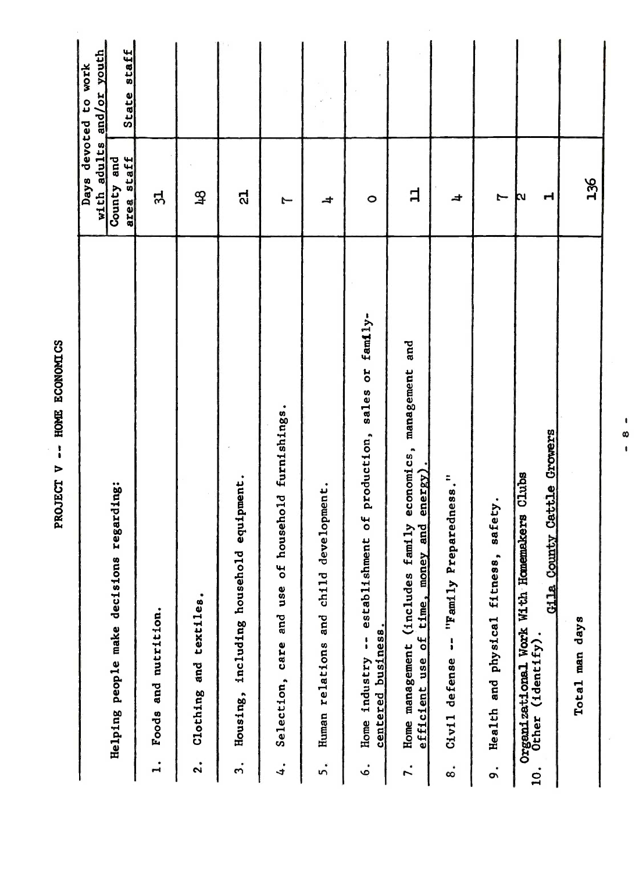|                                                                       |                                                    | with adults<br><b>Days</b> | and/or youth<br>devoted to work |
|-----------------------------------------------------------------------|----------------------------------------------------|----------------------------|---------------------------------|
| Helping people make decisions regarding:                              |                                                    | area staff<br>County and   | State staff                     |
| Foods and nutrition.<br>$\mathbf{I}$                                  |                                                    | ನ                          |                                 |
| ٠<br>Clothing and textiles<br>$\ddot{2}$ .                            |                                                    | $\mathfrak{P}$             |                                 |
| Housing, including household equipment.<br>$\ddot{ }$                 |                                                    | ದ                          |                                 |
| Selection, care and use<br>$\ddot{ }$                                 | of household furnishings.                          | J                          |                                 |
| Human relations and child<br>5.                                       | development.                                       | 4                          |                                 |
| centered business.<br>Home industry<br>ė.                             | -- establishment of production, sales or family-   | $\circ$                    |                                 |
| efficient use of time, money and<br>Home management (includes<br>r.   | economics, management and<br>$encrsy$ ).<br>family | 白                          |                                 |
| Civil defense -- "Family<br>$\dot{\circ}$                             | Preparedness."                                     | ᆉ                          |                                 |
| Health and physical fitness,<br>o.                                    | safety.                                            | I                          |                                 |
| Organizational Work With Homemakers Clubs<br>Other (identify).<br>10. | Gila County Cattle Growers                         | 너<br>Þν                    |                                 |
| Total man days                                                        |                                                    | 136                        |                                 |
|                                                                       | ٠<br>œ<br>$\pmb{\mathsf{I}}$                       |                            |                                 |
|                                                                       |                                                    |                            |                                 |
|                                                                       |                                                    |                            |                                 |

PROJECT V -- HOME ECONOMICS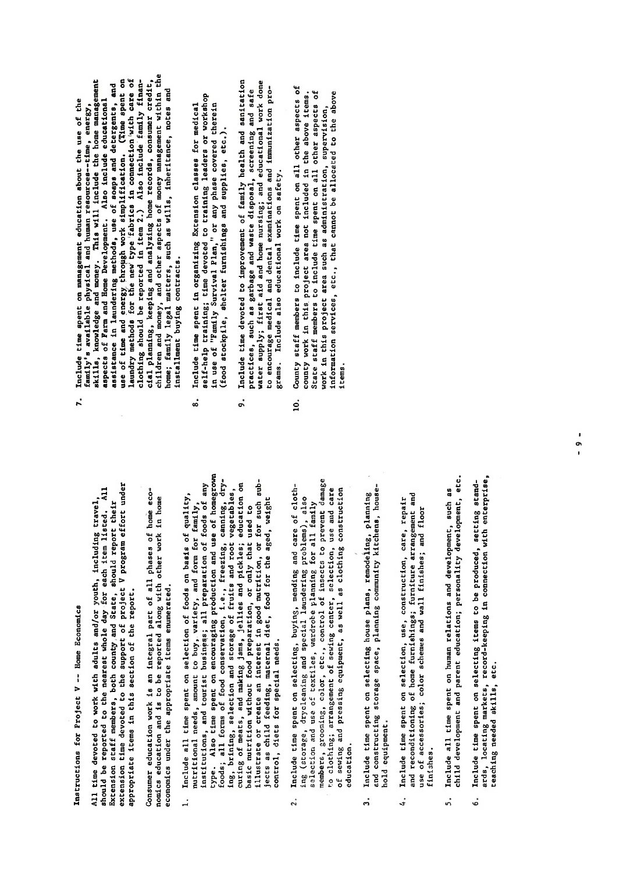Instructions for Project V -- Home Economics

All time devoted to work with adults and/or youth, including travel,<br>should be reported to the neerest whole day for each item listed. All<br>skiension staff members, both county and State, should report their<br>extension time appropriate items in this section of the report.

economics under the appropriate items enumerated.

6. Include time spent on selecting items to be produced, setting standards, locating markets, record-keeping in connection with  $\frac{1}{2}$  and  $\frac{1}{2}$  and  $\frac{1}{2}$  and  $\frac{1}{2}$  and  $\frac{1}{2}$ jects as child feeding, maternal diet, food for the aged, weight control, diets for special needs.  $\ddot{ }$ 

 $u$ se of accessories; color schemes and wall finishes; and floor schemes and floor schemes and floor schemes and floor

- education.  $\ddot{2}$ .
- hold equipment.  $\ddot{ }$
- Include time spent on selection, use, construction, care, repair<br>and reconditioning of home furnishings; furniture arrangement and use of accessories; color schemes and wall finishes; and floor finishes.  $4.$
- child development and parent education; personality development, etc. Include all time spent on human relations and development, such as 5.
- ards, locating markets, record-keeping in connection with enterprise,<br>teaching needed skills, etc. Include time spent on selecting items to be produced, setting stand- $\ddot{\circ}$
- $\mathbf{P}$  -- Home Equations for  $\mathbf{P}$  -- Home Equations for  $\mathbf{P}$  -- Home Equations for  $\mathbf{P}$  $\begin{array}{ccc} \text{a} & \text{b} & \text{c} & \text{c} & \text{d} & \text{d} & \text{e} \\ \text{c} & \text{d} & \text{e} & \text{d} & \text{e} & \text{e} & \text{d} & \text{e} \\ \text{d} & \text{e} & \text{f} & \text{f} & \text{f} & \text{f} & \text{f} \end{array}$ showld be reported to the nearest whole day it may be reported to the nearest whole day it is not a listed of <br>All the nearest whole day is not a listed of the manufacture of the nearest whole day is not a listed of the m Extension staff members, both county county of the should report the should report the should report the shoul<br>The should report the should report the should report the should report the should report that the should repo extension time devoted to the support of project v project under the support under the support under the suppo<br>Support under the support under the support under the support under the support under the support of the suppo appropriate in the report of the report of the report of the report of the report of the report of the report o<br>Consider the report of the report of the report of the report of the report of the report of the report of the Consumer education work is an integral part of all phases of the second part of the second part of the second <br>The second part of the second part of the second part of the second part of the second part of the second part nomics education and in home reported and in home reports and in the report of the second with our second with<br>The report of the second with the second with the second with the second with the second with the second with economics under the appropriate items enumerated.  $\frac{1}{2}$   $\frac{1}{2}$   $\frac{1}{2}$   $\frac{1}{2}$   $\frac{1}{2}$   $\frac{1}{2}$   $\frac{1}{2}$   $\frac{1}{2}$   $\frac{1}{2}$   $\frac{1}{2}$   $\frac{1}{2}$   $\frac{1}{2}$   $\frac{1}{2}$   $\frac{1}{2}$   $\frac{1}{2}$   $\frac{1}{2}$   $\frac{1}{2}$   $\frac{1}{2}$   $\frac{1}{2}$   $\frac{1}{2}$   $\frac{1}{2}$   $\frac{1}{2}$  nutritional needs, amount to buy and form for family, and form for family, and for family, and for family, and<br>See of the form for family, and for family, and for family, and for family, and for family, and for family, an ensitutions, and tourist business business business business and the preparation of the preparation of the sec type. Also time spent on the spent of the spent of the spent of the spent of the spent of the spent of the spe<br>The spent of the spent of the spent of the spent of the spent of the spent of the spent of the spent of the sp foods; all food conservation, i.e., freezing, freezing, canning, canning, canning, canning, canning, canning,<br>External canning, canning, canning, canning, canning, canning, canning, canning, canning, canning, canning, ca ing, brining, selection and storage of fruits and root vegetables, curing of measures; jellies and pickles; jellies and pickles; education on pickles; education on pickles; educ<br>Edition on pickles; education on pickles; education on pickles; education on pickles; education on pickles; ed basic nutrition with the preparation of the preparation of the use of the use of the use of the use of the use<br>The preparation of the use of the use of the use of the use of the use of the use of the use of the use of the illustrate or create and interest in good number in good number in good number in good number in good number i<br>Interest in a sub-create sub-create in good number in the sub-create or for sub-create in a sub-create in sub- $\frac{1}{4}$   $\frac{1}{2}$   $\frac{1}{2}$   $\frac{1}{6}$   $\frac{1}{3}$   $\frac{1}{2}$   $\frac{1}{6}$   $\frac{1}{3}$   $\frac{1}{2}$   $\frac{1}{6}$   $\frac{1}{3}$   $\frac{1}{2}$   $\frac{1}{3}$   $\frac{1}{2}$   $\frac{1}{3}$   $\frac{1}{2}$   $\frac{1}{3}$   $\frac{1}{2}$   $\frac{1}{3}$   $\frac{1}{2}$   $\frac{1}{3}$   $\frac{1}{2}$  control, diets for special needs for special needs for special needs for special needs for special needs. In t<br>The control of the control of the control of the control of the control of the control of the control of the c 2. Include time spent on section of the spent of care of clothing (storage, drycleaning and special laundering problems), also se Le creation and use of the planning for an all family for all family for all family for all family for all <br>Begans for all family for all family for all family for all family for all family for all family for all famil  $\Xi$ members, groots, etc., etc., etc., etc., etc., etc., etc., etc., etc., etc., etc., etc., etc., etc., etc., e to clothing; and center, and center, selection, use and care control of several center, selection, and care ca of sewing and pressing and pressing and pressing and pressing and pressing as a construction of the construction o family's available physical and human resources--time, energy,<br>skills, knowledge and money. This will include the home management<br>aspects of Farm and Home Development. Also include educational<br>assistance in laundering meth 3. Include time spent on selecting house plans, remodeling, planning and construction storage storage space, and community community community and community community and a series hassen and d  $\begin{array}{ccc} \star & \bullet & \bullet & \bullet & \bullet \end{array}$ 
	-
- 
- and reconditioning of home furnishings; furniture arrangement and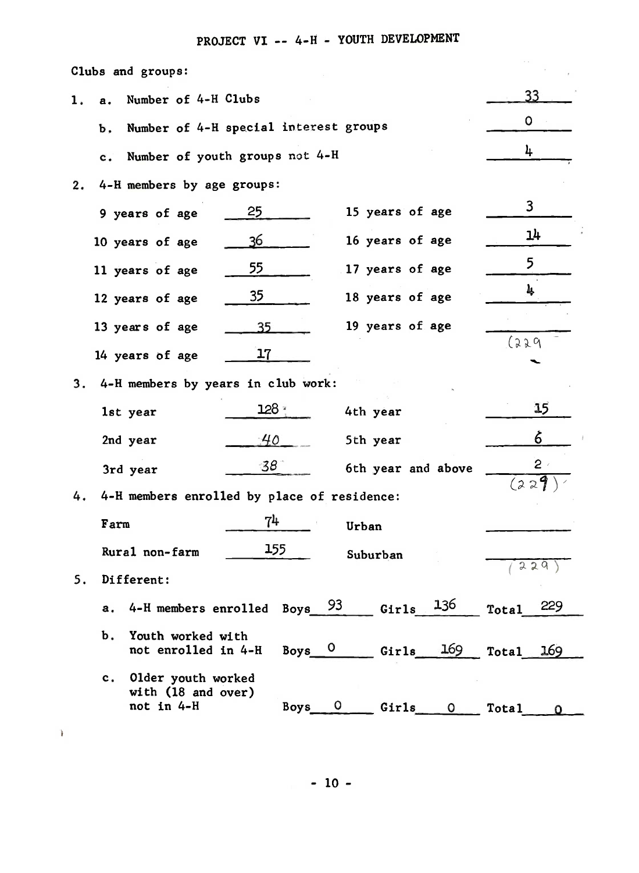## PROJECT VI -- 4-H - YOUTH DEVELOPMENT

|                      | Clubs and groups:                                         |                                       |                              |                     |
|----------------------|-----------------------------------------------------------|---------------------------------------|------------------------------|---------------------|
| 1.<br>$\mathbf{a}$ . | Number of 4-H Clubs                                       |                                       |                              | 33                  |
| b,                   |                                                           | Number of 4-H special interest groups |                              | $\circ$             |
| c.                   |                                                           | Number of youth groups not 4-H        |                              | 4                   |
| 2.                   | 4-H members by age groups:                                |                                       |                              |                     |
|                      | 9 years of age                                            | 25                                    | 15 years of age              | $\mathbf{3}$        |
|                      | 10 years of age                                           | 36                                    | 16 years of age              | 14                  |
|                      | 11 years of age                                           | 55                                    | 17 years of age              | 5                   |
|                      | 12 years of age                                           | 35                                    | 18 years of age              | 4                   |
|                      | 13 years of age                                           | 35                                    | 19 years of age              |                     |
|                      | 14 years of age                                           | 17                                    |                              | 1229                |
|                      |                                                           |                                       |                              |                     |
| 3.                   | 4-H members by years in club work:                        |                                       |                              |                     |
|                      | 1st year                                                  | 128.3                                 | 4th year                     | 15                  |
|                      | 2nd year                                                  | 40                                    | 5th year                     | 6                   |
|                      | 3rd year                                                  | $38^\circ$                            | 6th year and above           | $\overline{2}$      |
| 4.                   | 4-H members enrolled by place of residence:               |                                       |                              | (229)               |
|                      | Farm                                                      | 7 <sup>1</sup>                        | Urban                        |                     |
|                      | Rural non-farm                                            | 155                                   | Suburban                     |                     |
| 5.                   | Different:                                                |                                       |                              | 229                 |
| а.                   | 4-H members enrolled Boys 93                              |                                       | 136<br>Girls                 | 229<br><b>Total</b> |
| $\mathbf b$ .        | Youth worked with<br>not enrolled in 4-H                  | $Boys$ 0                              | 169<br>Girls                 | <b>Total</b><br>169 |
|                      | c. Older youth worked<br>with (18 and over)<br>not in 4-H | Boys                                  | Girls<br>$\circ$<br>$\Omega$ | Total               |

 $\rightarrow$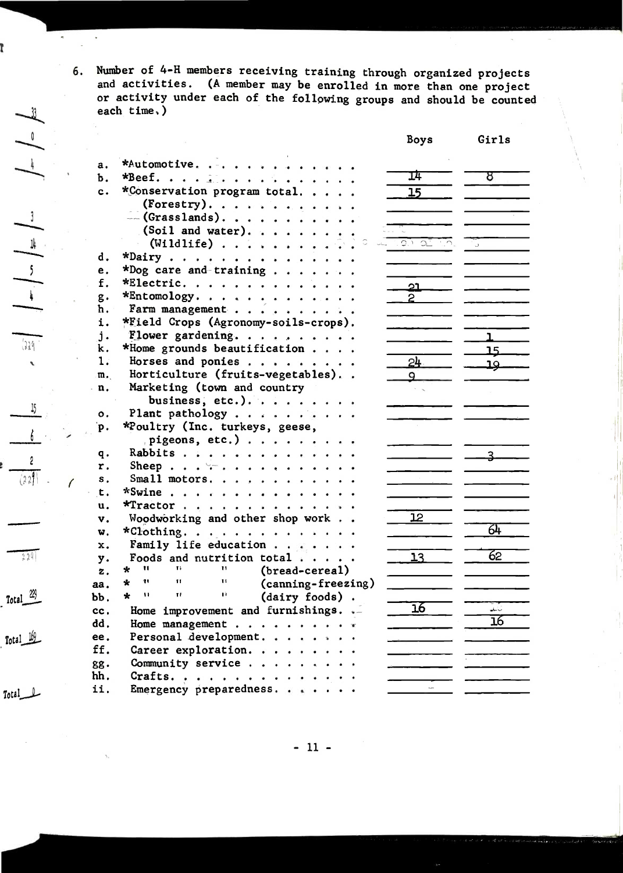Number of 4-H members receiving training through organized projects 6. and activities. (A member may be enrolled in more than one project or activity under each of the following groups and should be counted each time.)

|                |                                                                       | Boys              | Girls       |
|----------------|-----------------------------------------------------------------------|-------------------|-------------|
| a.             | *Automotive.                                                          |                   |             |
| Ъ.             | *Beef. $\vdots$                                                       | 14                | 8           |
| $\mathbf{c}$ . | *Conservation program total                                           | 15                |             |
|                | (Forestry).                                                           |                   |             |
|                | $-(Grasslands)$ .                                                     |                   |             |
|                | (Soil and water).                                                     |                   |             |
|                | $(\text{Wildlife})$                                                   | $\overline{C}$ of |             |
| d.             | *Dairy                                                                |                   |             |
| e.             | *Dog care and-training                                                |                   |             |
| f.             | *Electric.                                                            | <u>ာ၊</u>         |             |
| $g$ .          | $*$ Entomology.                                                       | $\overline{c}$    |             |
| ħ.             | Farm management                                                       |                   |             |
| i.             | *Field Crops (Agronomy-soils-crops).                                  |                   |             |
| $\mathbf{j}$ . | Flower gardening.                                                     |                   | ı           |
| k.             | *Home grounds beautification                                          |                   | 15          |
| 1.             | Horses and ponies                                                     | $24 -$            | عد          |
| m.             | Horticulture (fruits-vegetables)                                      | 9                 |             |
| n.             | Marketing (town and country                                           |                   |             |
|                | business, etc.).                                                      |                   |             |
| о.             | Plant pathology                                                       |                   |             |
| p.             | *Poultry (Inc. turkeys, geese,                                        |                   |             |
|                | pigeons, etc.)                                                        |                   |             |
| q.             | Rabbits                                                               |                   | <u>२ - </u> |
| r.             | Sheep $\forall r \ldots r$                                            |                   |             |
| s.             | Small motors.                                                         |                   |             |
| t.             | *Swine                                                                |                   |             |
| u.             | *Tractor                                                              |                   |             |
| v.             | Woodworking and other shop work                                       | 12 <sup>°</sup>   |             |
| w.             | *Clothing.                                                            |                   | 64          |
| x.             | Family life education                                                 |                   |             |
| у.             | Foods and nutrition total $\cdots$ .                                  | 13                | 62          |
| z.             | $\mathbf{H}$<br>14.<br>Ħ.<br>$\star$<br>(bread-cereal)                |                   |             |
| aa.            | ŦF.<br>$\star$<br>11<br>Ħ<br>(canning-freezing)                       |                   |             |
| bb.            | $\star$<br>$\pmb{\mathcal{V}}$<br>$\mathbf{H}$<br>Ĥ<br>(dairy foods). |                   |             |
| cc.            | Home improvement and furnishings. ._                                  | $\overline{16}$   | أسابطه      |
| dd.            | Home management $\mathbf{r}$                                          |                   | 16          |
| ee.            | Personal development.                                                 |                   |             |
| ff.            | Career exploration.                                                   |                   |             |
| gg.            | Community service                                                     |                   |             |
| hh.            | Crafts.                                                               |                   |             |
| ii.            | Emergency preparedness.                                               |                   |             |
|                |                                                                       |                   |             |

 $-11 -$ 

 $\left| \begin{array}{cc} \ast \\ \ast \end{array} \right| \backsim \left| \begin{array}{cc} \ast \\ \ast \end{array} \right| \backsim \quad \left| \begin{array}{cc} \ast \\ \ast \end{array} \right| \backsim \left| \begin{array}{cc} \ast \\ \ast \end{array} \right|$ 

ľ

 $15\,$ 

 $(229)$  $\overline{\phantom{a}}$ 

 $\delta$ 

 $rac{2}{(229)}$ 

 $\overline{1}$ 

Total  $\frac{22}{3}$ 

 $229$ 

 $Total 169$ 

 $Total$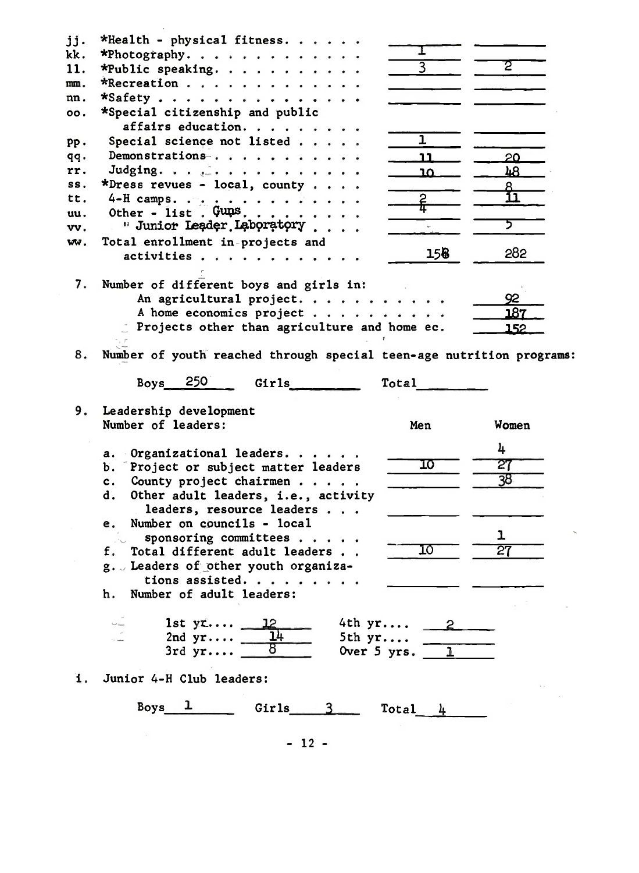| jj.        | *Health - physical fitness.                                          |                |                        |  |
|------------|----------------------------------------------------------------------|----------------|------------------------|--|
| kk.        | *Photography.                                                        | ı              |                        |  |
| 11.        | *Public speaking.                                                    | $\overline{3}$ | Σ                      |  |
| mm.        | *Recreation                                                          |                |                        |  |
| nn.        | *Safety                                                              |                |                        |  |
| 00.        | *Special citizenship and public                                      |                |                        |  |
|            | affairs education.                                                   |                |                        |  |
|            | Special science not listed                                           | ı              |                        |  |
| $PP -$     | Demonstrations                                                       |                |                        |  |
| qq.<br>rr. |                                                                      | 11.            | 20                     |  |
| SS.        | Judging. $\ldots$<br>*Dress revues - local, county                   | <u>1Ω</u>      | 48                     |  |
| tt.        |                                                                      |                | <u>A</u><br><u> 11</u> |  |
|            | 4-H camps. $\cdots$ , $\cdots$<br>Other - list. $Gung: \ldots$ .     | <u>ሬ</u>       |                        |  |
| uu.        | " Junior Leader Laboratory                                           |                | ד                      |  |
| vv.        |                                                                      |                |                        |  |
| ww.        | Total enrollment in-projects and                                     | 158            | 282                    |  |
|            | activities                                                           |                |                        |  |
|            |                                                                      |                |                        |  |
|            | 7. Number of different boys and girls in:                            |                | 92                     |  |
|            | An agricultural project.                                             |                | 187                    |  |
|            | A home economics project                                             |                |                        |  |
|            | Projects other than agriculture and home ec.                         |                | 152                    |  |
|            |                                                                      |                |                        |  |
| 8.         | Number of youth reached through special teen-age nutrition programs: |                |                        |  |
|            | Boys $250$<br>Girls<br>Total                                         |                |                        |  |
|            | 9. Leadership development                                            |                |                        |  |
|            | Number of leaders:<br>Men                                            |                | Women                  |  |
|            |                                                                      |                |                        |  |
|            | Organizational leaders.<br>а.                                        |                | 4                      |  |
|            | Project or subject matter leaders<br>b. T                            | 10             | 27                     |  |
|            | County project chairmen<br>c <sub>1</sub>                            |                | 38                     |  |
|            | Other adult leaders, i.e., activity<br>d.                            |                |                        |  |
|            | leaders, resource leaders                                            |                |                        |  |
|            | Number on councils - local<br>е.                                     |                |                        |  |
|            | sponsoring committees                                                |                | ı                      |  |
|            | Total different adult leaders.                                       | 10             | 27                     |  |
|            | g. Leaders of other youth organiza-                                  |                |                        |  |
|            | tions assisted.                                                      |                |                        |  |
|            | Number of adult leaders:<br>h.                                       |                |                        |  |
|            |                                                                      |                |                        |  |
|            | 4th yr 2<br>1st $yr 12$                                              |                |                        |  |
|            | 2nd $yr$<br>5th yr                                                   |                |                        |  |
|            | 3rdyr<br>Over 5 yrs. $\boxed{1}$                                     |                |                        |  |
| 1.         | Junior 4-H Club leaders:                                             |                |                        |  |
|            | Boys<br>Ŧ.<br>Girls $3$<br>Total                                     | $\mu$          |                        |  |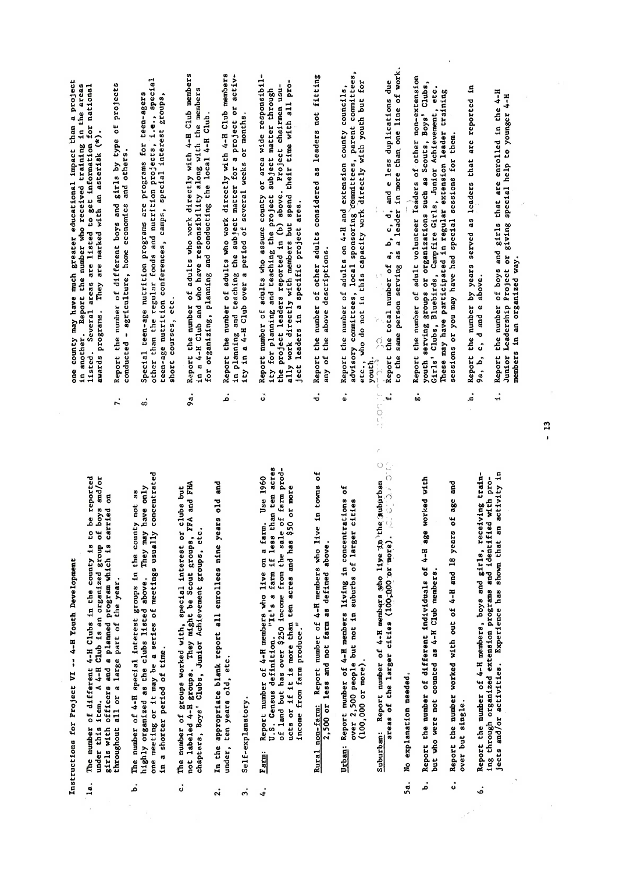Instructions for Project VI -- 4-H Youth Development

- throughout all or a large part of the year. 1a.
- In a shorter period of time. .<br>م
- ċ,
- under, ten years old, etc.  $\ddot{a}$
- Self-explanatory.  $\ddot{ }$

 $\ddot{ }$ 

- $\begin{matrix} 6.666 & 6.666 \ 0.666 & 0.666 \end{matrix}$  . As and girls, receiving training training training training training training training training training training training training training training training training training tr ing through organized extension produced by the second property of the second property of the second pro- $\vec{a}$  and  $\vec{b}$  and  $\vec{c}$  and  $\vec{c}$  and  $\vec{c}$  in activity in activity in a shown that an activity in  $\vec{c}$  in  $\vec{c}$  in  $\vec{c}$  in  $\vec{c}$  in  $\vec{c}$  in  $\vec{c}$  in  $\vec{c}$  in  $\vec{c}$  in  $\vec{c}$  in  $\vec{c}$  in Income from farm produce."  $Fam:$ 
	- 2,500 or less and not farm as defined above. Rural non-farm:
- $(100,000$  or more). Urban:

c. Report the number worked with out of 4-H and <sup>18</sup> years of age and

- No explanation needed.  $5a.$
- Report the number of different individuals of 4-H age worked with but who were not counted as 4-H Club members. .<br>م
- Report the number worked with out of 4-H and 18 years of age and over but single. å
- h. Report the number by years served as leaders that are reported in  $\mathcal{P}$  $\overline{1}$ . Report that are enrolled in the 4-H  $\overline{1}$  $\mathcal{H}_{\mathcal{H}}$  Project or giving special help to  $\mathcal{H}_{\mathcal{H}}$ members in an organized way.  $\ddot{\bullet}$

- $\sim$   $\sim$   $\sim$
- $\begin{bmatrix} 1 & 0 \\ 0 & 1 \end{bmatrix}$ in a shorter period of the shorter period of the shorter period of the shorter period of the term in the short<br>Englished of the shorter period of the shorter period of the shorter period of the shorter period of the short<br>  $\frac{1}{2}$   $\frac{1}{2}$   $\frac{1}{2}$   $\frac{1}{2}$   $\frac{1}{2}$   $\frac{1}{2}$   $\frac{1}{2}$   $\frac{1}{2}$   $\frac{1}{2}$   $\frac{1}{2}$   $\frac{1}{2}$   $\frac{1}{2}$   $\frac{1}{2}$   $\frac{1}{2}$   $\frac{1}{2}$   $\frac{1}{2}$   $\frac{1}{2}$   $\frac{1}{2}$   $\frac{1}{2}$   $\frac{1}{2}$   $\frac{1}{2}$   $\frac{1}{2}$  3. Self-explanatory.  $\overline{a}$   $\overline{b}$   $\overline{c}$   $\overline{c}$   $\overline{c}$   $\overline{c}$   $\overline{c}$   $\overline{c}$   $\overline{c}$   $\overline{c}$   $\overline{c}$   $\overline{c}$   $\overline{c}$   $\overline{c}$   $\overline{c}$   $\overline{c}$   $\overline{c}$   $\overline{c}$   $\overline{c}$   $\overline{c}$   $\overline{c}$   $\overline{c}$   $\overline{c}$   $\overline{c}$   $\overline{$ fis it sta
- 
- 

b. Report the number of different individuals of 4-H age worked with

- Instructions for Project VI -- 4-8 Youth Development la. The number of different 4-8 Clubs in the county is to be reported 4-8 Clubs in the county is to be reporte under the international control of the control organized group of the control organized group of the control o<br>This and organization of the control organization of the control organization of the control organization of t girls with one of the planned program which is carried on the program which is carried on the program which is<br>The program which is carried on the program which is carried on the program which is carried on the program wh<br> Report the number of adults who work directly with 4-H Club members<br>in a 4-H Club and who have responsibility along with the members<br>for organizing, planning and conducting the local 4-H Club.<br>Report the number of adults w  $\begin{bmatrix} 0 & 0 & 0 & 0 \ 0 & 0 & 0 & 0 \end{bmatrix}$  , we could get groups in the county not as  $\begin{bmatrix} 0 & 0 & 0 \ 0 & 0 & 0 & 0 \end{bmatrix}$ highly organized as the clubs listed as the clubs listed as the clubs listed as the clubs listed above. The cl<br>The clubs listed as the clubs listed as the clubs listed as in the clubs of the clubs listed as the clubs list  $\sum_{i=1}^{n}$  one method or it may be a series of meeting usually concentrated by  $\sum_{i=1}^{n}$  or  $\sum_{i=1}^{n}$  and  $\sum_{i=1}^{n}$  or  $\sum_{i=1}^{n}$  and  $\sum_{i=1}^{n}$  and  $\sum_{i=1}^{n}$  and  $\sum_{i=1}^{n}$  and  $\sum_{i=1}^{n}$  and  $\sum_{i=$ c. The number of groups with the number of groups with the number of groups with the clubs of the clubs but of<br>Interest or clubs but the clubs but of the clubs but of the clubs but of the clubs but of the clubs but of the not label and they might be Scott be Scott groups. They may be Scott groups. They may be Scott groups, FFA and<br>In the Scott groups, FFA and FHA and FHA and FHA and FHA and FHA and FHA and FHA and FHA and FHA and FHA and F chapters, Boys' Clubs, Clubs, Clubs, Clubs, Clubs, Clubs, Clubs, Clubs, Clubs, Clubs, Clubs, Clubs, Clubs, Clu<br>Contractor Clubs, Clubs, Clubs, Clubs, Clubs, Clubs, Clubs, Clubs, Clubs, Clubs, Clubs, Clubs, Clubs, Clubs, C 2. In the appropriate blank report all enrollees nine years old and de die oordeling van die 1960 was die 1960.<br>Bers was die 1960 was die 1960 was die 1960 was die 1960 was die 1960 was die 1960 was die 1960 was die 1960<br>Bers was die 1960 was die 1960 was die 1960 was die 1960 was die 1960 U. S. Census definition. "It's <sup>a</sup> farm if less than ten acres of land but has over the sale of farmer and produced but has a sale of the sale of the sale of the sale of the ucts or if it is more than that is more than the second ten acres and has the second ten acres and has the second<br>That is more than the second ten acres and has the second ten acres and has the second ten acres and has the  $R$   $\sim$   $R$   $\sim$   $R$   $\sim$   $R$   $\sim$   $R$   $\sim$   $R$   $\sim$   $R$   $\sim$   $R$   $\sim$   $R$   $\sim$   $R$   $\sim$   $R$   $\sim$   $R$   $\sim$   $R$   $\sim$   $R$   $\sim$   $R$   $\sim$   $R$   $\sim$   $R$   $\sim$   $R$   $\sim$   $R$   $\sim$   $R$   $\sim$   $R$   $\sim$   $R$   $\sim$   $R$   $\sim$   $R$   $\sim$   $R$  2,50.0. or less and not farm as defined above.  $\ddot{\textbf{r}}$  report numbers in concentrations of  $\ddot{\textbf{r}}$  . The members of  $\ddot{\textbf{r}}$  in concentrations of  $\ddot{\textbf{r}}$  in concentrations of  $\ddot{\textbf{r}}$  in concentrations of  $\ddot{\textbf{r}}$  in concentrations of  $\ddot{\textbf{r}}$  over 2,500 per 2,500 per 2,500 per 2,500 per 2,500 per 2,500 per 2,500 per 2,500 per 2,500 per 2,500 per 2,500<br>En 1980 per 2,500 per 2,500 per 2,500 per 2,500 per 2,500 per 2,500 per 2,500 per 2,500 per 2,500 per 2,500 pe Suburban: Report number of 4-H member of 4-H member of 4-H member of 4-H member of 4-H member of 4-H member of<br>Participate distribution of 4-H member of 4-H member of 4-H member of 4-H member of 4-H member of 4-H member o areas of the larger cities (10�;no.C! 1)r '-mox:e). ;::.: \_. <sup>C</sup> �
	-
- 
- 
- $\ddot{u}$
- youth serving groups or organizations such as Scouts, Boys' Clubs, Girls' Clubs, Bluebirds, Campfire Girls, Junior Achievement, etc. These may have participated in regular extension leader training<br>sessions or you may have had special sessions for them.<br>Report the number by years served as leaders that are reported in<br>9a, b, c, d and e above. å
	- f.
	- listed. Several areas are listed to get information for national  $\frac{1}{2}$  are marked with an asterisk (\*).  $\frac{1}{2}$  report the number of  $\frac{1}{2}$  report to project such and give of projects by type of projects by type of projects  $\epsilon$   $\epsilon$  $\begin{array}{c} \mathbf{e} \ \mathbf{e} \ \mathbf{e} \end{array}$  $\tilde{H}$  than the regular foods and nutrition projects,  $\tilde{H}$  $t_{\rm eq}$  $s_{\rm c}$ 9a. Report the number of adults who work directly with 4-H.Club members  $\frac{1}{4}$ H Club and with the members  $\frac{1}{4}$  $f_{\rm eff}$  organizing, planning and conducting the local 4-H  $\alpha$  $\mathbf{R}$  report the numbers with  $\mathbf{R}$ in planning and teaching the subject matter for <sup>a</sup> project or activ- $\frac{1}{2}$  in a  $\frac{1}{2}$  in a period of several weeks or months.  $\alpha$  report number of adults who assume county or area wide responsibility of a wide responsibility of a  $\alpha$ ity for planning and teaching the project subject subject subject subject subject subject  $\frac{1}{2}$  $\frac{1}{2}$  above. Project chairmen usually work directly with members but spend their time with all pro $j$ ect leaders in a specific project area.  $\overline{B}$  report the number of other adults considered as leaders not fitting  $\overline{B}$  $\overline{\bf a}$  and above descriptions. e. Report the number of adults on  $4-4$  and extension county county county county county county county county county county county county county county county county county county county county county county county county advisory committees, local sponsoring'c6mmittees, parent committees,  $\frac{d}{dx}$  $\frac{p}{2}$ Report to the

the total number of a, b, c, d� and <sup>e</sup> less duplications due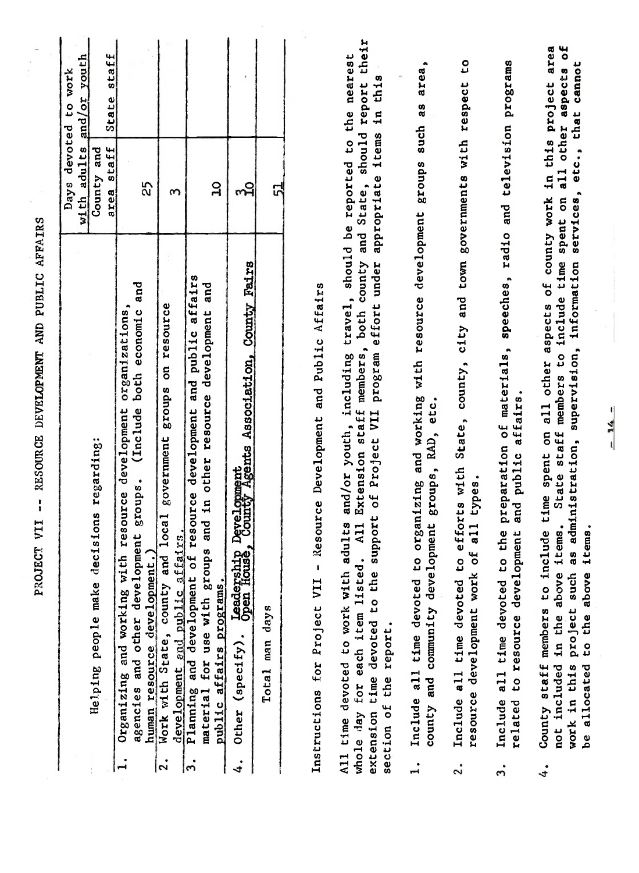| and working with resource development<br>Helping people make decisions regarding:<br>Organizing<br>$\mathbf{I}$                                                                                                                                                                   |                                                                                                                                       |                                                      |                                      |
|-----------------------------------------------------------------------------------------------------------------------------------------------------------------------------------------------------------------------------------------------------------------------------------|---------------------------------------------------------------------------------------------------------------------------------------|------------------------------------------------------|--------------------------------------|
|                                                                                                                                                                                                                                                                                   |                                                                                                                                       | devoted<br>with adults<br>Days                       | or youth<br>to work<br>hous          |
|                                                                                                                                                                                                                                                                                   |                                                                                                                                       | staff<br>County and<br>area                          | State staff                          |
| agencies and other development groups.                                                                                                                                                                                                                                            | and<br>organizations,<br>both economic<br>(Include                                                                                    | 25                                                   |                                      |
| and local government groups<br>development and public affairs<br>human resource development<br>Work with State, county and<br>$ {\mathbf{S}} $                                                                                                                                    | on resource                                                                                                                           | S                                                    |                                      |
| other<br>and in<br>for use with groups<br>Planning and development of<br>material for use with groups<br>public affairs programs.<br>ကြ                                                                                                                                           | resource development and public affairs<br>and<br>development<br>resource                                                             | $\mathbf{a}$                                         |                                      |
| $(spectfy)$ .<br>Other<br>4.                                                                                                                                                                                                                                                      | Leadership Development<br>Open House, County Agents Association, County Fairs                                                         | က်                                                   |                                      |
| Total man days                                                                                                                                                                                                                                                                    |                                                                                                                                       | 51                                                   |                                      |
| Instructions for Project VII                                                                                                                                                                                                                                                      | Resource Development and Public Affairs                                                                                               |                                                      |                                      |
| adults and/or youth,<br>of Project<br>support<br>A <sub>11</sub><br>whole day for each item listed<br>extension time devoted to the<br>All time devoted to work with<br>section of the report.                                                                                    | including travel, should be reported to the nearest<br>Extension staff members, both county and State,<br>program effort under<br>VII | appropriate items                                    | their<br>this<br>should report<br>in |
| county and community development groups, RAD, etc.<br>organizing<br>Include all time devoted to<br>$\mathbf{I}$ .                                                                                                                                                                 | and working with resource development groups such as                                                                                  |                                                      | area                                 |
| types.<br>a11<br>resource development work of<br>Include all time devoted to<br>$\ddot{\mathbf{c}}$                                                                                                                                                                               | efforts with State, county, city and town governments with respect                                                                    |                                                      | ٥,                                   |
| and public affairs.<br>the<br>related to resource development<br>c,<br>Include all time devoted<br>$\ddot{ }$                                                                                                                                                                     | preparation of materials, speeches, radio and television programs                                                                     |                                                      |                                      |
| County staff members to include time spent on all other aspects of county work in this project<br>administration,<br>tems.<br>tems.<br>$\overline{a}$<br>H<br>ΨÓ<br>Ħ<br>above<br>to the above<br>such<br>project<br>in the<br>not included<br>be allocated<br>work in this<br>4. | State staff members to include time<br>information<br>supervision,                                                                    | services, etc., that cannot<br>all other<br>spent on | ۴o<br>area<br>aspects                |
| $\frac{14}{1}$                                                                                                                                                                                                                                                                    | U                                                                                                                                     |                                                      |                                      |
|                                                                                                                                                                                                                                                                                   |                                                                                                                                       |                                                      |                                      |

 $\frac{1}{\sqrt{2}}$ 

PROJECT VII -- RESOURCE DEVELOPMENT AND PUBLIC AFFAIRS